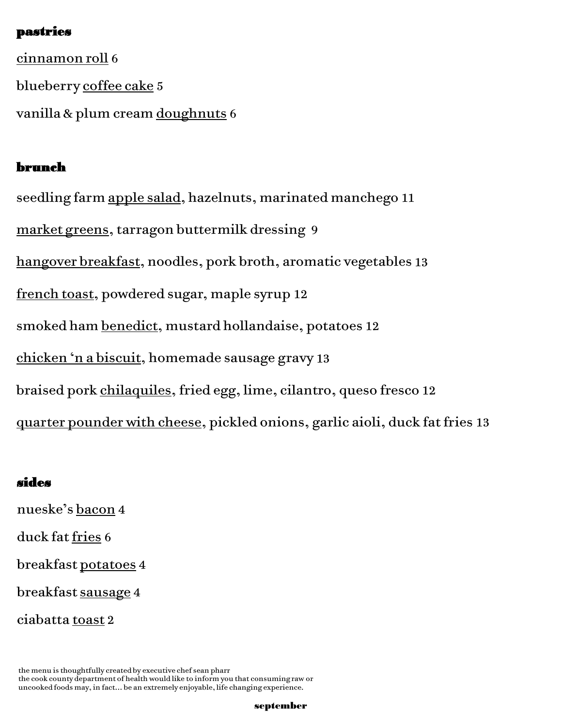### pastries

cinnamon roll 6 blueberry coffee cake 5 vanilla & plum cream doughnuts 6

## brunch

seedling farm apple salad, hazelnuts, marinated manchego 11 market greens, tarragon buttermilk dressing 9 hangover breakfast, noodles, pork broth, aromatic vegetables 13 french toast, powdered sugar, maple syrup 12 smoked ham benedict, mustard hollandaise, potatoes 12 chicken 'n a biscuit, homemade sausage gravy 13 braised pork chilaquiles, fried egg, lime, cilantro, queso fresco 12

quarter pounder with cheese, pickled onions, garlic aioli, duck fat fries 13

### sides

nueske's bacon 4

duck fat fries 6

breakfast potatoes 4

breakfast sausage 4

ciabatta toast 2

the menu is thoughtfully created by executive chef sean pharr the cook county department of health would like to inform you that consuming raw or uncooked foods may, in fact… be an extremely enjoyable, life changing experience.